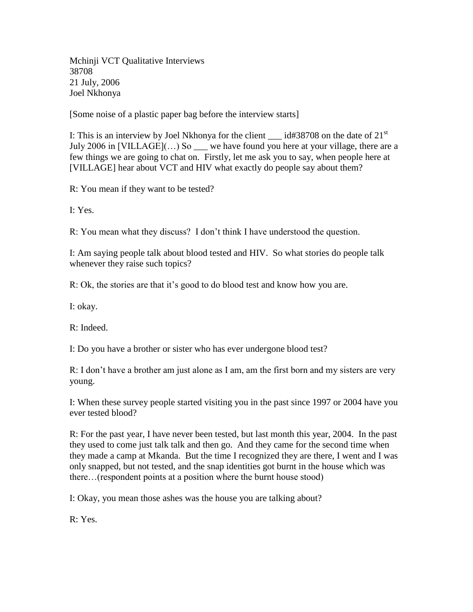Mchinji VCT Qualitative Interviews 38708 21 July, 2006 Joel Nkhonya

[Some noise of a plastic paper bag before the interview starts]

I: This is an interview by Joel Nkhonya for the client  $\_\_$ id#38708 on the date of 21<sup>st</sup> July 2006 in [VILLAGE](...) So \_\_\_ we have found you here at your village, there are a few things we are going to chat on. Firstly, let me ask you to say, when people here at [VILLAGE] hear about VCT and HIV what exactly do people say about them?

R: You mean if they want to be tested?

I: Yes.

R: You mean what they discuss? I don't think I have understood the question.

I: Am saying people talk about blood tested and HIV. So what stories do people talk whenever they raise such topics?

R: Ok, the stories are that it's good to do blood test and know how you are.

I: okay.

R: Indeed.

I: Do you have a brother or sister who has ever undergone blood test?

R: I don't have a brother am just alone as I am, am the first born and my sisters are very young.

I: When these survey people started visiting you in the past since 1997 or 2004 have you ever tested blood?

R: For the past year, I have never been tested, but last month this year, 2004. In the past they used to come just talk talk and then go. And they came for the second time when they made a camp at Mkanda. But the time I recognized they are there, I went and I was only snapped, but not tested, and the snap identities got burnt in the house which was there…(respondent points at a position where the burnt house stood)

I: Okay, you mean those ashes was the house you are talking about?

R: Yes.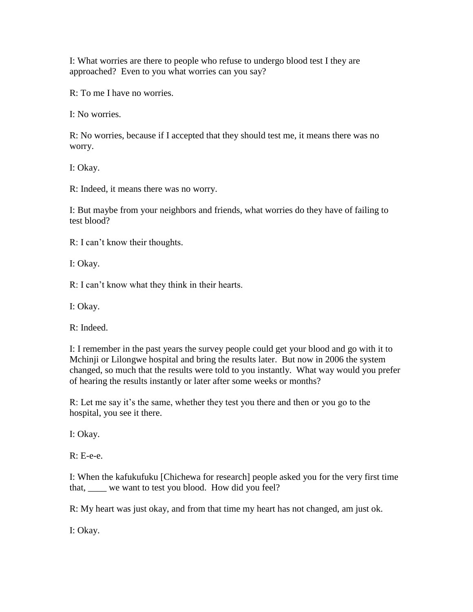I: What worries are there to people who refuse to undergo blood test I they are approached? Even to you what worries can you say?

R: To me I have no worries.

I: No worries.

R: No worries, because if I accepted that they should test me, it means there was no worry.

I: Okay.

R: Indeed, it means there was no worry.

I: But maybe from your neighbors and friends, what worries do they have of failing to test blood?

R: I can't know their thoughts.

I: Okay.

R: I can't know what they think in their hearts.

I: Okay.

R: Indeed.

I: I remember in the past years the survey people could get your blood and go with it to Mchinji or Lilongwe hospital and bring the results later. But now in 2006 the system changed, so much that the results were told to you instantly. What way would you prefer of hearing the results instantly or later after some weeks or months?

R: Let me say it's the same, whether they test you there and then or you go to the hospital, you see it there.

I: Okay.

 $R: E-e-e$ .

I: When the kafukufuku [Chichewa for research] people asked you for the very first time that, \_\_\_\_ we want to test you blood. How did you feel?

R: My heart was just okay, and from that time my heart has not changed, am just ok.

I: Okay.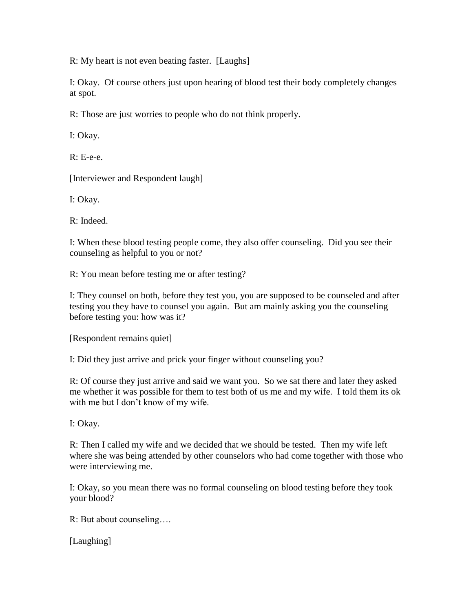R: My heart is not even beating faster. [Laughs]

I: Okay. Of course others just upon hearing of blood test their body completely changes at spot.

R: Those are just worries to people who do not think properly.

I: Okay.

R: E-e-e.

[Interviewer and Respondent laugh]

I: Okay.

R: Indeed.

I: When these blood testing people come, they also offer counseling. Did you see their counseling as helpful to you or not?

R: You mean before testing me or after testing?

I: They counsel on both, before they test you, you are supposed to be counseled and after testing you they have to counsel you again. But am mainly asking you the counseling before testing you: how was it?

[Respondent remains quiet]

I: Did they just arrive and prick your finger without counseling you?

R: Of course they just arrive and said we want you. So we sat there and later they asked me whether it was possible for them to test both of us me and my wife. I told them its ok with me but I don't know of my wife.

I: Okay.

R: Then I called my wife and we decided that we should be tested. Then my wife left where she was being attended by other counselors who had come together with those who were interviewing me.

I: Okay, so you mean there was no formal counseling on blood testing before they took your blood?

R: But about counseling….

[Laughing]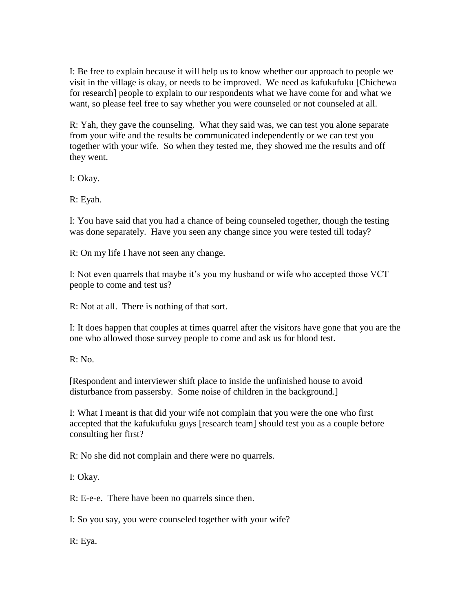I: Be free to explain because it will help us to know whether our approach to people we visit in the village is okay, or needs to be improved. We need as kafukufuku [Chichewa for research] people to explain to our respondents what we have come for and what we want, so please feel free to say whether you were counseled or not counseled at all.

R: Yah, they gave the counseling. What they said was, we can test you alone separate from your wife and the results be communicated independently or we can test you together with your wife. So when they tested me, they showed me the results and off they went.

I: Okay.

R: Eyah.

I: You have said that you had a chance of being counseled together, though the testing was done separately. Have you seen any change since you were tested till today?

R: On my life I have not seen any change.

I: Not even quarrels that maybe it's you my husband or wife who accepted those VCT people to come and test us?

R: Not at all. There is nothing of that sort.

I: It does happen that couples at times quarrel after the visitors have gone that you are the one who allowed those survey people to come and ask us for blood test.

R: No.

[Respondent and interviewer shift place to inside the unfinished house to avoid disturbance from passersby. Some noise of children in the background.]

I: What I meant is that did your wife not complain that you were the one who first accepted that the kafukufuku guys [research team] should test you as a couple before consulting her first?

R: No she did not complain and there were no quarrels.

I: Okay.

R: E-e-e. There have been no quarrels since then.

I: So you say, you were counseled together with your wife?

R: Eya.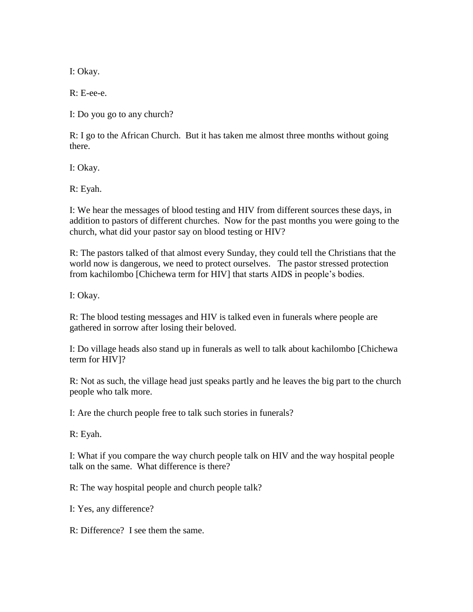I: Okay.

R: E-ee-e.

I: Do you go to any church?

R: I go to the African Church. But it has taken me almost three months without going there.

I: Okay.

R: Eyah.

I: We hear the messages of blood testing and HIV from different sources these days, in addition to pastors of different churches. Now for the past months you were going to the church, what did your pastor say on blood testing or HIV?

R: The pastors talked of that almost every Sunday, they could tell the Christians that the world now is dangerous, we need to protect ourselves. The pastor stressed protection from kachilombo [Chichewa term for HIV] that starts AIDS in people's bodies.

I: Okay.

R: The blood testing messages and HIV is talked even in funerals where people are gathered in sorrow after losing their beloved.

I: Do village heads also stand up in funerals as well to talk about kachilombo [Chichewa term for HIV]?

R: Not as such, the village head just speaks partly and he leaves the big part to the church people who talk more.

I: Are the church people free to talk such stories in funerals?

R: Eyah.

I: What if you compare the way church people talk on HIV and the way hospital people talk on the same. What difference is there?

R: The way hospital people and church people talk?

I: Yes, any difference?

R: Difference? I see them the same.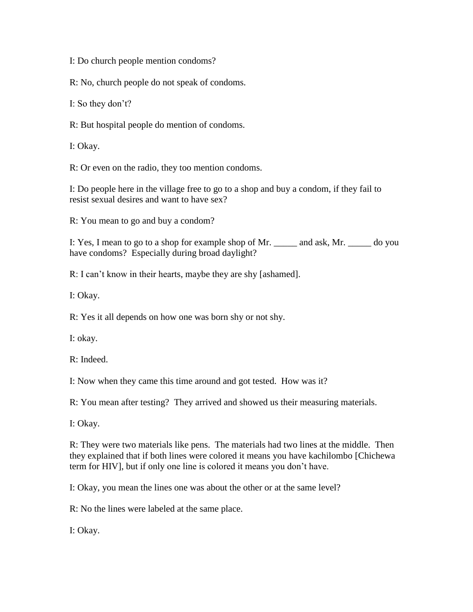I: Do church people mention condoms?

R: No, church people do not speak of condoms.

I: So they don't?

R: But hospital people do mention of condoms.

I: Okay.

R: Or even on the radio, they too mention condoms.

I: Do people here in the village free to go to a shop and buy a condom, if they fail to resist sexual desires and want to have sex?

R: You mean to go and buy a condom?

I: Yes, I mean to go to a shop for example shop of Mr. \_\_\_\_\_ and ask, Mr. \_\_\_\_\_ do you have condoms? Especially during broad daylight?

R: I can't know in their hearts, maybe they are shy [ashamed].

I: Okay.

R: Yes it all depends on how one was born shy or not shy.

I: okay.

R: Indeed.

I: Now when they came this time around and got tested. How was it?

R: You mean after testing? They arrived and showed us their measuring materials.

I: Okay.

R: They were two materials like pens. The materials had two lines at the middle. Then they explained that if both lines were colored it means you have kachilombo [Chichewa term for HIV], but if only one line is colored it means you don't have.

I: Okay, you mean the lines one was about the other or at the same level?

R: No the lines were labeled at the same place.

I: Okay.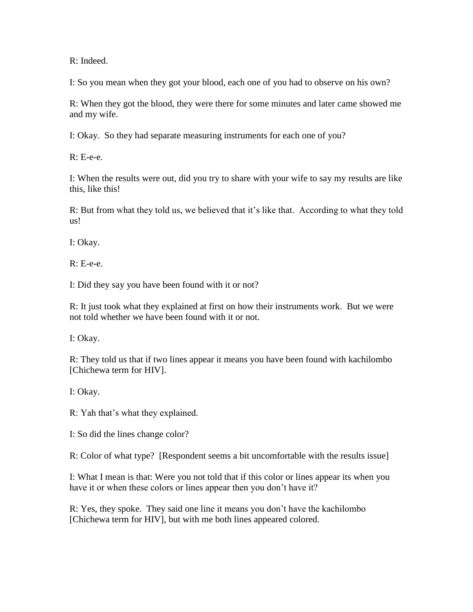R: Indeed.

I: So you mean when they got your blood, each one of you had to observe on his own?

R: When they got the blood, they were there for some minutes and later came showed me and my wife.

I: Okay. So they had separate measuring instruments for each one of you?

R: E-e-e.

I: When the results were out, did you try to share with your wife to say my results are like this, like this!

R: But from what they told us, we believed that it's like that. According to what they told us!

I: Okay.

R: E-e-e.

I: Did they say you have been found with it or not?

R: It just took what they explained at first on how their instruments work. But we were not told whether we have been found with it or not.

I: Okay.

R: They told us that if two lines appear it means you have been found with kachilombo [Chichewa term for HIV].

I: Okay.

R: Yah that's what they explained.

I: So did the lines change color?

R: Color of what type? [Respondent seems a bit uncomfortable with the results issue]

I: What I mean is that: Were you not told that if this color or lines appear its when you have it or when these colors or lines appear then you don't have it?

R: Yes, they spoke. They said one line it means you don't have the kachilombo [Chichewa term for HIV], but with me both lines appeared colored.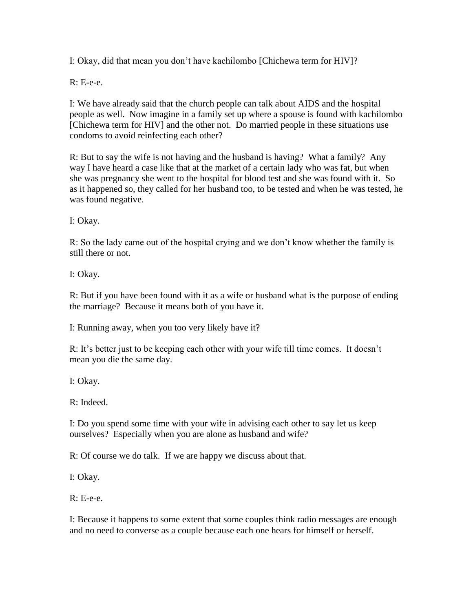I: Okay, did that mean you don't have kachilombo [Chichewa term for HIV]?

R: E-e-e.

I: We have already said that the church people can talk about AIDS and the hospital people as well. Now imagine in a family set up where a spouse is found with kachilombo [Chichewa term for HIV] and the other not. Do married people in these situations use condoms to avoid reinfecting each other?

R: But to say the wife is not having and the husband is having? What a family? Any way I have heard a case like that at the market of a certain lady who was fat, but when she was pregnancy she went to the hospital for blood test and she was found with it. So as it happened so, they called for her husband too, to be tested and when he was tested, he was found negative.

I: Okay.

R: So the lady came out of the hospital crying and we don't know whether the family is still there or not.

I: Okay.

R: But if you have been found with it as a wife or husband what is the purpose of ending the marriage? Because it means both of you have it.

I: Running away, when you too very likely have it?

R: It's better just to be keeping each other with your wife till time comes. It doesn't mean you die the same day.

I: Okay.

R: Indeed.

I: Do you spend some time with your wife in advising each other to say let us keep ourselves? Especially when you are alone as husband and wife?

R: Of course we do talk. If we are happy we discuss about that.

I: Okay.

R: E-e-e.

I: Because it happens to some extent that some couples think radio messages are enough and no need to converse as a couple because each one hears for himself or herself.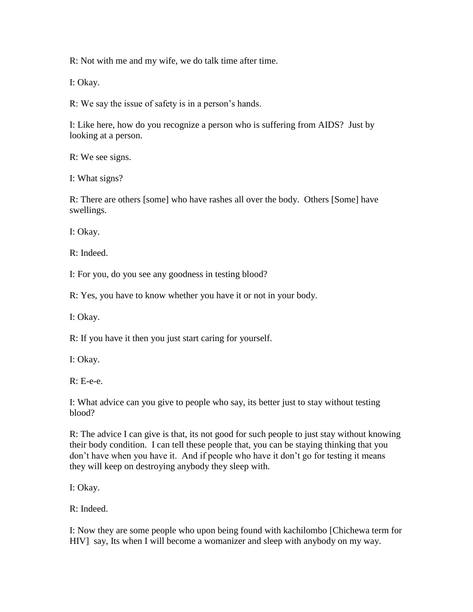R: Not with me and my wife, we do talk time after time.

I: Okay.

R: We say the issue of safety is in a person's hands.

I: Like here, how do you recognize a person who is suffering from AIDS? Just by looking at a person.

R: We see signs.

I: What signs?

R: There are others [some] who have rashes all over the body. Others [Some] have swellings.

I: Okay.

R: Indeed.

I: For you, do you see any goodness in testing blood?

R: Yes, you have to know whether you have it or not in your body.

I: Okay.

R: If you have it then you just start caring for yourself.

I: Okay.

 $R: E-e-e$ .

I: What advice can you give to people who say, its better just to stay without testing blood?

R: The advice I can give is that, its not good for such people to just stay without knowing their body condition. I can tell these people that, you can be staying thinking that you don't have when you have it. And if people who have it don't go for testing it means they will keep on destroying anybody they sleep with.

I: Okay.

R: Indeed.

I: Now they are some people who upon being found with kachilombo [Chichewa term for HIV] say, Its when I will become a womanizer and sleep with anybody on my way.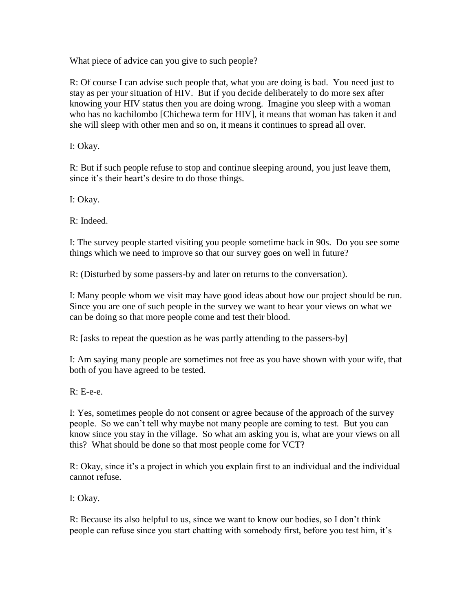What piece of advice can you give to such people?

R: Of course I can advise such people that, what you are doing is bad. You need just to stay as per your situation of HIV. But if you decide deliberately to do more sex after knowing your HIV status then you are doing wrong. Imagine you sleep with a woman who has no kachilombo [Chichewa term for HIV], it means that woman has taken it and she will sleep with other men and so on, it means it continues to spread all over.

I: Okay.

R: But if such people refuse to stop and continue sleeping around, you just leave them, since it's their heart's desire to do those things.

I: Okay.

R: Indeed.

I: The survey people started visiting you people sometime back in 90s. Do you see some things which we need to improve so that our survey goes on well in future?

R: (Disturbed by some passers-by and later on returns to the conversation).

I: Many people whom we visit may have good ideas about how our project should be run. Since you are one of such people in the survey we want to hear your views on what we can be doing so that more people come and test their blood.

R: [asks to repeat the question as he was partly attending to the passers-by]

I: Am saying many people are sometimes not free as you have shown with your wife, that both of you have agreed to be tested.

R: E-e-e.

I: Yes, sometimes people do not consent or agree because of the approach of the survey people. So we can't tell why maybe not many people are coming to test. But you can know since you stay in the village. So what am asking you is, what are your views on all this? What should be done so that most people come for VCT?

R: Okay, since it's a project in which you explain first to an individual and the individual cannot refuse.

I: Okay.

R: Because its also helpful to us, since we want to know our bodies, so I don't think people can refuse since you start chatting with somebody first, before you test him, it's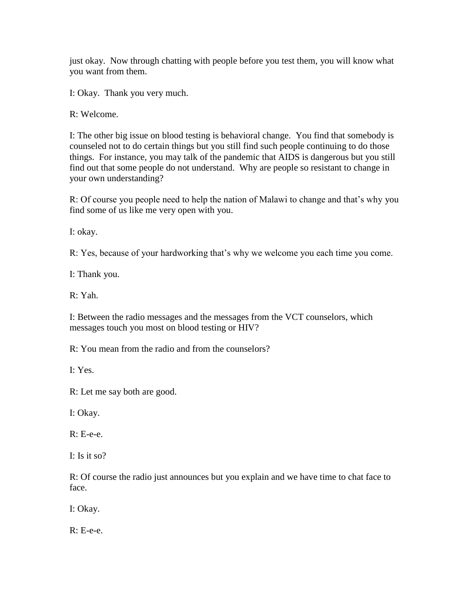just okay. Now through chatting with people before you test them, you will know what you want from them.

I: Okay. Thank you very much.

R: Welcome.

I: The other big issue on blood testing is behavioral change. You find that somebody is counseled not to do certain things but you still find such people continuing to do those things. For instance, you may talk of the pandemic that AIDS is dangerous but you still find out that some people do not understand. Why are people so resistant to change in your own understanding?

R: Of course you people need to help the nation of Malawi to change and that's why you find some of us like me very open with you.

I: okay.

R: Yes, because of your hardworking that's why we welcome you each time you come.

I: Thank you.

R: Yah.

I: Between the radio messages and the messages from the VCT counselors, which messages touch you most on blood testing or HIV?

R: You mean from the radio and from the counselors?

I: Yes.

R: Let me say both are good.

I: Okay.

R: E-e-e.

I: Is it so?

R: Of course the radio just announces but you explain and we have time to chat face to face.

I: Okay.

R: E-e-e.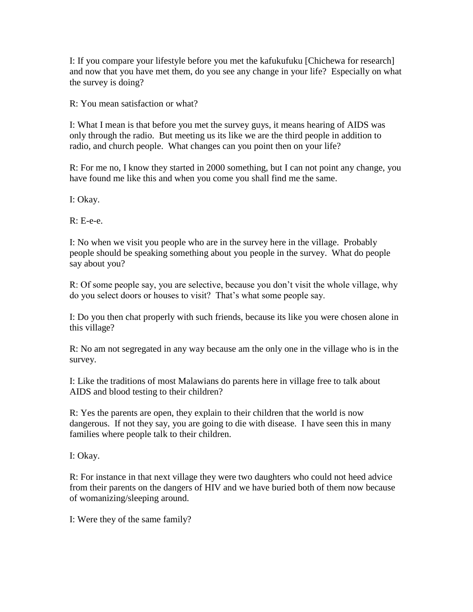I: If you compare your lifestyle before you met the kafukufuku [Chichewa for research] and now that you have met them, do you see any change in your life? Especially on what the survey is doing?

R: You mean satisfaction or what?

I: What I mean is that before you met the survey guys, it means hearing of AIDS was only through the radio. But meeting us its like we are the third people in addition to radio, and church people. What changes can you point then on your life?

R: For me no, I know they started in 2000 something, but I can not point any change, you have found me like this and when you come you shall find me the same.

I: Okay.

 $R: E-e-e$ .

I: No when we visit you people who are in the survey here in the village. Probably people should be speaking something about you people in the survey. What do people say about you?

R: Of some people say, you are selective, because you don't visit the whole village, why do you select doors or houses to visit? That's what some people say.

I: Do you then chat properly with such friends, because its like you were chosen alone in this village?

R: No am not segregated in any way because am the only one in the village who is in the survey.

I: Like the traditions of most Malawians do parents here in village free to talk about AIDS and blood testing to their children?

R: Yes the parents are open, they explain to their children that the world is now dangerous. If not they say, you are going to die with disease. I have seen this in many families where people talk to their children.

I: Okay.

R: For instance in that next village they were two daughters who could not heed advice from their parents on the dangers of HIV and we have buried both of them now because of womanizing/sleeping around.

I: Were they of the same family?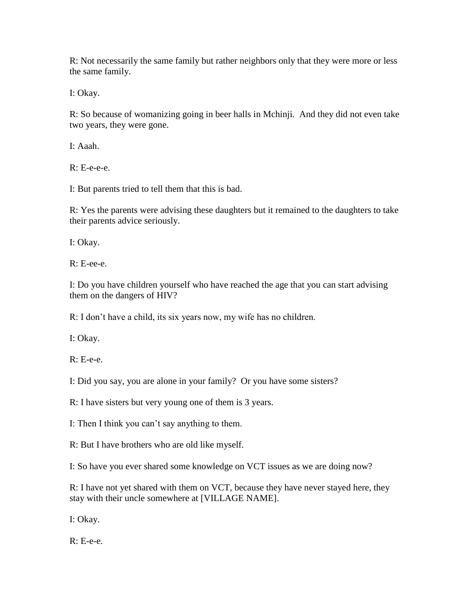R: Not necessarily the same family but rather neighbors only that they were more or less the same family.

I: Okay.

R: So because of womanizing going in beer halls in Mchinji. And they did not even take two years, they were gone.

I: Aaah.

 $R: E-e-e-e$ .

I: But parents tried to tell them that this is bad.

R: Yes the parents were advising these daughters but it remained to the daughters to take their parents advice seriously.

I: Okay.

R: E-ee-e.

I: Do you have children yourself who have reached the age that you can start advising them on the dangers of HIV?

R: I don't have a child, its six years now, my wife has no children.

I: Okay.

R: E-e-e.

I: Did you say, you are alone in your family? Or you have some sisters?

R: I have sisters but very young one of them is 3 years.

I: Then I think you can't say anything to them.

R: But I have brothers who are old like myself.

I: So have you ever shared some knowledge on VCT issues as we are doing now?

R: I have not yet shared with them on VCT, because they have never stayed here, they stay with their uncle somewhere at [VILLAGE NAME].

I: Okay.

R: E-e-e.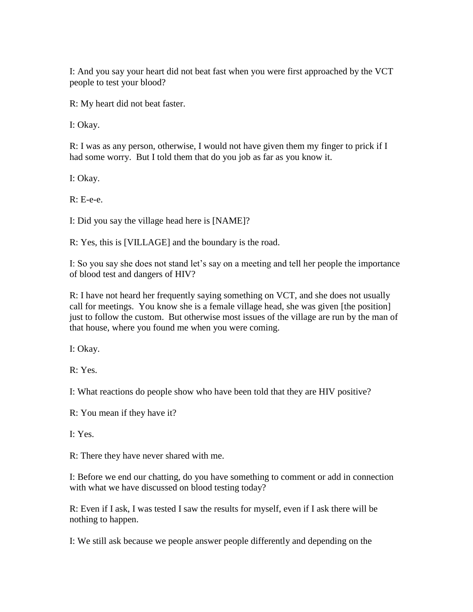I: And you say your heart did not beat fast when you were first approached by the VCT people to test your blood?

R: My heart did not beat faster.

I: Okay.

R: I was as any person, otherwise, I would not have given them my finger to prick if I had some worry. But I told them that do you job as far as you know it.

I: Okay.

R: E-e-e.

I: Did you say the village head here is [NAME]?

R: Yes, this is [VILLAGE] and the boundary is the road.

I: So you say she does not stand let's say on a meeting and tell her people the importance of blood test and dangers of HIV?

R: I have not heard her frequently saying something on VCT, and she does not usually call for meetings. You know she is a female village head, she was given [the position] just to follow the custom. But otherwise most issues of the village are run by the man of that house, where you found me when you were coming.

I: Okay.

R: Yes.

I: What reactions do people show who have been told that they are HIV positive?

R: You mean if they have it?

I: Yes.

R: There they have never shared with me.

I: Before we end our chatting, do you have something to comment or add in connection with what we have discussed on blood testing today?

R: Even if I ask, I was tested I saw the results for myself, even if I ask there will be nothing to happen.

I: We still ask because we people answer people differently and depending on the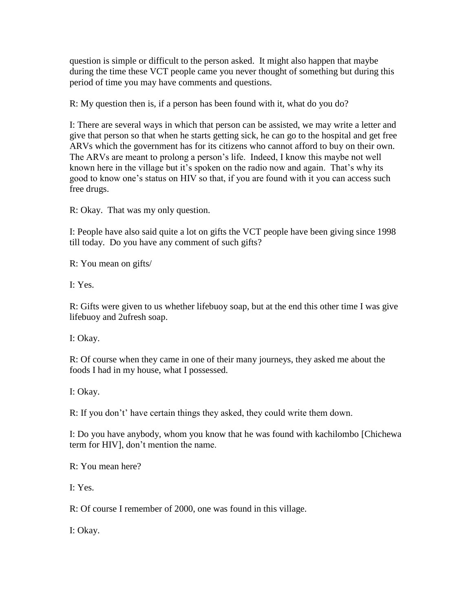question is simple or difficult to the person asked. It might also happen that maybe during the time these VCT people came you never thought of something but during this period of time you may have comments and questions.

R: My question then is, if a person has been found with it, what do you do?

I: There are several ways in which that person can be assisted, we may write a letter and give that person so that when he starts getting sick, he can go to the hospital and get free ARVs which the government has for its citizens who cannot afford to buy on their own. The ARVs are meant to prolong a person's life. Indeed, I know this maybe not well known here in the village but it's spoken on the radio now and again. That's why its good to know one's status on HIV so that, if you are found with it you can access such free drugs.

R: Okay. That was my only question.

I: People have also said quite a lot on gifts the VCT people have been giving since 1998 till today. Do you have any comment of such gifts?

R: You mean on gifts/

I: Yes.

R: Gifts were given to us whether lifebuoy soap, but at the end this other time I was give lifebuoy and 2ufresh soap.

I: Okay.

R: Of course when they came in one of their many journeys, they asked me about the foods I had in my house, what I possessed.

I: Okay.

R: If you don't' have certain things they asked, they could write them down.

I: Do you have anybody, whom you know that he was found with kachilombo [Chichewa term for HIV], don't mention the name.

R: You mean here?

I: Yes.

R: Of course I remember of 2000, one was found in this village.

I: Okay.